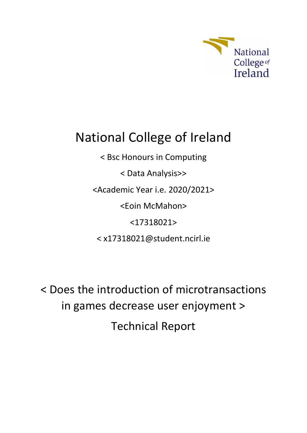

# National College of Ireland

< Bsc Honours in Computing < Data Analysis>> <Academic Year i.e. 2020/2021> <Eoin McMahon> <17318021> < x17318021@student.ncirl.ie

< Does the introduction of microtransactions in games decrease user enjoyment > Technical Report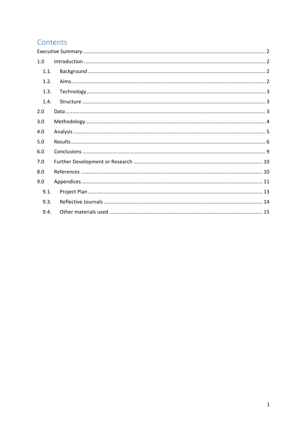## Contents

| 1.0  |  |
|------|--|
| 1.1. |  |
| 1.2. |  |
| 1.3. |  |
| 1.4. |  |
| 2.0  |  |
| 3.0  |  |
| 4.0  |  |
| 5.0  |  |
| 6.0  |  |
| 7.0  |  |
| 8.0  |  |
| 9.0  |  |
| 9.1. |  |
| 9.3. |  |
| 9.4. |  |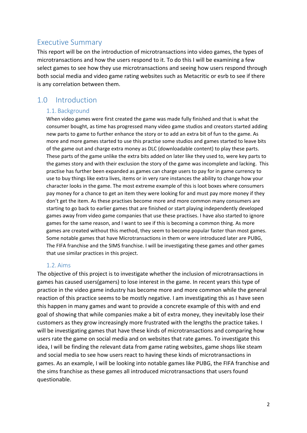## <span id="page-2-0"></span>Executive Summary

This report will be on the introduction of microtransactions into video games, the types of microtransactions and how the users respond to it. To do this I will be examining a few select games to see how they use microtransactions and seeing how users respond through both social media and video game rating websites such as Metacritic or esrb to see if there is any correlation between them.

## <span id="page-2-2"></span><span id="page-2-1"></span>1.0 Introduction

#### 1.1. Background

<span id="page-2-3"></span>When video games were first created the game was made fully finished and that is what the consumer bought, as time has progressed many video game studios and creators started adding new parts to game to further enhance the story or to add an extra bit of fun to the game. As more and more games started to use this practise some studios and games started to leave bits of the game out and charge extra money as DLC (downloadable content) to play these parts. These parts of the game unlike the extra bits added on later like they used to, were key parts to the games story and with their exclusion the story of the game was incomplete and lacking. This practise has further been expanded as games can charge users to pay for in game currency to use to buy things like extra lives, items or in very rare instances the ability to change how your character looks in the game. The most extreme example of this is loot boxes where consumers pay money for a chance to get an item they were looking for and must pay more money if they don't get the item. As these practises become more and more common many consumers are starting to go back to earlier games that are finished or start playing independently developed games away from video game companies that use these practises. I have also started to ignore games for the same reason, and I want to see if this is becoming a common thing. As more games are created without this method, they seem to become popular faster than most games. Some notable games that have Microtransactions in them or were introduced later are PUBG, The FIFA franchise and the SIMS franchise. I will be investigating these games and other games that use similar practices in this project.

#### 1.2. Aims

<span id="page-2-4"></span>The objective of this project is to investigate whether the inclusion of microtransactions in games has caused users(gamers) to lose interest in the game. In recent years this type of practice in the video game industry has become more and more common while the general reaction of this practice seems to be mostly negative. I am investigating this as I have seen this happen in many games and want to provide a concrete example of this with and end goal of showing that while companies make a bit of extra money, they inevitably lose their customers as they grow increasingly more frustrated with the lengths the practice takes. I will be investigating games that have these kinds of microtransactions and comparing how users rate the game on social media and on websites that rate games. To investigate this idea, I will be finding the relevant data from game rating websites, game shops like steam and social media to see how users react to having these kinds of microtransactions in games. As an example, I will be looking into notable games like PUBG, the FIFA franchise and the sims franchise as these games all introduced microtransactions that users found questionable.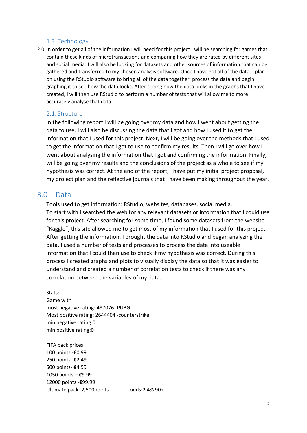#### 1.3. Technology

<span id="page-3-0"></span>2.0 In order to get all of the information I will need for this project I will be searching for games that contain these kinds of microtransactions and comparing how they are rated by different sites and social media. I will also be looking for datasets and other sources of information that can be gathered and transferred to my chosen analysis software. Once I have got all of the data, I plan on using the RStudio software to bring all of the data together, process the data and begin graphing it to see how the data looks. After seeing how the data looks in the graphs that I have created, I will then use RStudio to perform a number of tests that will allow me to more accurately analyse that data.

#### 2.1. Structure

In the following report I will be going over my data and how I went about getting the data to use. I will also be discussing the data that I got and how I used it to get the information that I used for this project. Next, I will be going over the methods that I used to get the information that I got to use to confirm my results. Then I will go over how I went about analysing the information that I got and confirming the information. Finally, I will be going over my results and the conclusions of the project as a whole to see if my hypothesis was correct. At the end of the report, I have put my initial project proposal, my project plan and the reflective journals that I have been making throughout the year.

#### <span id="page-3-2"></span><span id="page-3-1"></span>3.0 Data

Tools used to get information: RStudio, websites, databases, social media. To start with I searched the web for any relevant datasets or information that I could use for this project. After searching for some time, I found some datasets from the website "Kaggle", this site allowed me to get most of my information that I used for this project. After getting the information, I brought the data into RStudio and began analyzing the data. I used a number of tests and processes to process the data into useable information that I could then use to check if my hypothesis was correct. During this process I created graphs and plots to visually display the data so that it was easier to understand and created a number of correlation tests to check if there was any correlation between the variables of my data.

Stats:

Game with most negative rating: 487076 -PUBG Most positive rating: 2644404 -counterstrike min negative rating:0 min positive rating:0

FIFA pack prices: 100 points -**€**0.99 250 points -**€**2.49 500 points- **€**4.99 1050 points – **€**9.99 12000 points -**€**99.99 Ultimate pack -2,500points odds:2.4% 90+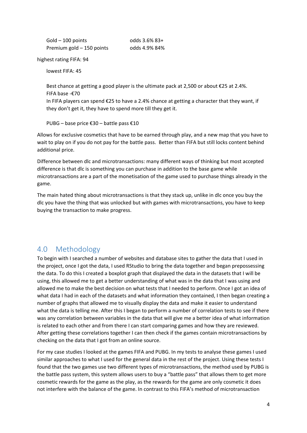| Gold - 100 points         |  |
|---------------------------|--|
| Premium gold - 150 points |  |

odds 3.6% 83+ odds 4.9% 84%

highest rating FIFA: 94

lowest FIFA: 45

Best chance at getting a good player is the ultimate pack at 2,500 or about  $\epsilon$ 25 at 2.4%. FIFA base -€70 In FIFA players can spend €25 to have a 2.4% chance at getting a character that they want, if they don't get it, they have to spend more till they get it.

PUBG – base price €30 – battle pass  $€10$ 

Allows for exclusive cosmetics that have to be earned through play, and a new map that you have to wait to play on if you do not pay for the battle pass. Better than FIFA but still locks content behind additional price.

Difference between dlc and microtransactions: many different ways of thinking but most accepted difference is that dlc is something you can purchase in addition to the base game while microtransactions are a part of the monetisation of the game used to purchase things already in the game.

The main hated thing about microtransactions is that they stack up, unlike in dlc once you buy the dlc you have the thing that was unlocked but with games with microtransactions, you have to keep buying the transaction to make progress.

## 4.0 Methodology

To begin with I searched a number of websites and database sites to gather the data that I used in the project, once I got the data, I used RStudio to bring the data together and began prepossessing the data. To do this I created a boxplot graph that displayed the data in the datasets that I will be using, this allowed me to get a better understanding of what was in the data that I was using and allowed me to make the best decision on what tests that I needed to perform. Once I got an idea of what data I had in each of the datasets and what information they contained, I then began creating a number of graphs that allowed me to visually display the data and make it easier to understand what the data is telling me. After this I began to perform a number of correlation tests to see if there was any correlation between variables in the data that will give me a better idea of what information is related to each other and from there I can start comparing games and how they are reviewed. After getting these correlations together I can then check if the games contain microtransactions by checking on the data that I got from an online source.

For my case studies I looked at the games FIFA and PUBG. In my tests to analyse these games I used similar approaches to what I used for the general data in the rest of the project. Using these tests I found that the two games use two different types of microtransactions, the method used by PUBG is the battle pass system, this system allows users to buy a "battle pass" that allows them to get more cosmetic rewards for the game as the play, as the rewards for the game are only cosmetic it does not interfere with the balance of the game. In contrast to this FIFA's method of microtransaction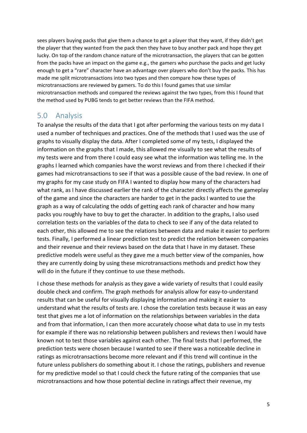sees players buying packs that give them a chance to get a player that they want, if they didn't get the player that they wanted from the pack then they have to buy another pack and hope they get lucky. On top of the random chance nature of the microtransaction, the players that can be gotten from the packs have an impact on the game e.g., the gamers who purchase the packs and get lucky enough to get a "rare" character have an advantage over players who don't buy the packs. This has made me split microtransactions into two types and then compare how these types of microtransactions are reviewed by gamers. To do this I found games that use similar microtransaction methods and compared the reviews against the two types, from this I found that the method used by PUBG tends to get better reviews than the FIFA method.

### <span id="page-5-0"></span>5.0 Analysis

To analyse the results of the data that I got after performing the various tests on my data I used a number of techniques and practices. One of the methods that I used was the use of graphs to visually display the data. After I completed some of my tests, I displayed the information on the graphs that I made, this allowed me visually to see what the results of my tests were and from there I could easy see what the information was telling me. In the graphs I learned which companies have the worst reviews and from there I checked if their games had microtransactions to see if that was a possible cause of the bad review. In one of my graphs for my case study on FIFA I wanted to display how many of the characters had what rank, as I have discussed earlier the rank of the character directly affects the gameplay of the game and since the characters are harder to get in the packs I wanted to use the graph as a way of calculating the odds of getting each rank of character and how many packs you roughly have to buy to get the character. In addition to the graphs, I also used correlation tests on the variables of the data to check to see if any of the data related to each other, this allowed me to see the relations between data and make it easier to perform tests. Finally, I performed a linear prediction test to predict the relation between companies and their revenue and their reviews based on the data that I have in my dataset. These predictive models were useful as they gave me a much better view of the companies, how they are currently doing by using these microtransactions methods and predict how they will do in the future if they continue to use these methods.

I chose these methods for analysis as they gave a wide variety of results that I could easily double check and confirm. The graph methods for analysis allow for easy-to-understand results that can be useful for visually displaying information and making it easier to understand what the results of tests are. I chose the corelation tests because it was an easy test that gives me a lot of information on the relationships between variables in the data and from that information, I can then more accurately choose what data to use in my tests for example if there was no relationship between publishers and reviews then I would have known not to test those variables against each other. The final tests that I performed, the prediction tests were chosen because I wanted to see if there was a noticeable decline in ratings as microtransactions become more relevant and if this trend will continue in the future unless publishers do something about it. I chose the ratings, publishers and revenue for my predictive model so that I could check the future rating of the companies that use microtransactions and how those potential decline in ratings affect their revenue, my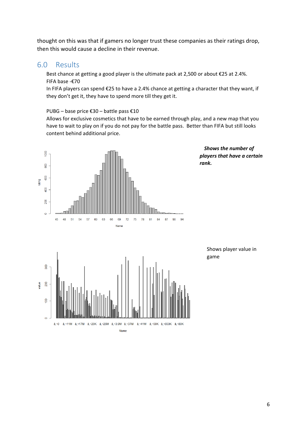thought on this was that if gamers no longer trust these companies as their ratings drop, then this would cause a decline in their revenue.

#### <span id="page-6-1"></span><span id="page-6-0"></span>6.0 Results

Best chance at getting a good player is the ultimate pack at 2,500 or about €25 at 2.4%. FIFA base -€70

In FIFA players can spend €25 to have a 2.4% chance at getting a character that they want, if they don't get it, they have to spend more till they get it.

PUBG – base price €30 – battle pass €10

Allows for exclusive cosmetics that have to be earned through play, and a new map that you have to wait to play on if you do not pay for the battle pass. Better than FIFA but still looks content behind additional price.



*Shows the number of players that have a certain rank.*

> Shows player value in game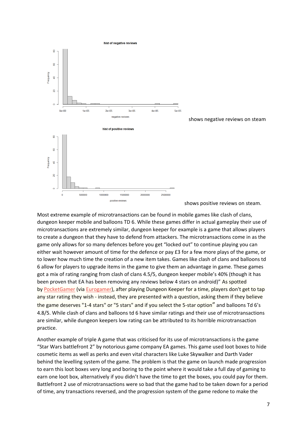

Most extreme example of microtransactions can be found in mobile games like clash of clans, dungeon keeper mobile and balloons TD 6. While these games differ in actual gameplay their use of microtransactions are extremely similar, dungeon keeper for example is a game that allows players to create a dungeon that they have to defend from attackers. The microtransactions come in as the game only allows for so many defences before you get "locked out" to continue playing you can either wait however amount of time for the defence or pay £3 for a few more plays of the game, or to lower how much time the creation of a new item takes. Games like clash of clans and balloons td 6 allow for players to upgrade items in the game to give them an advantage in game. These games got a mix of rating ranging from clash of clans 4.5/5, dungeon keeper mobile's 40% (though it has been proven that EA has been removing any reviews below 4 stars on android)" As spotted by [PocketGamer](http://www.pocketgamer.co.uk/r/iPad/Dungeon+Keeper/news.asp?c=57158) (via [Eurogamer\)](https://www.eurogamer.net/articles/2014-02-06-dungeon-keeper-androids-rating-system-filters-out-1-4-star-reviews), after playing Dungeon Keeper for a time, players don't get to tap any star rating they wish - instead, they are presented with a question, asking them if they believe the game deserves "1-4 stars" or "5 stars" and if you select the 5-star option" and balloons Td 6's 4.8/5. While clash of clans and balloons td 6 have similar ratings and their use of microtransactions are similar, while dungeon keepers low rating can be attributed to its horrible microtransaction practice.

Another example of triple A game that was criticised for its use of microtransactions is the game "Star Wars battlefront 2" by notorious game company EA games. This game used loot boxes to hide cosmetic items as well as perks and even vital characters like Luke Skywalker and Darth Vader behind the levelling system of the game. The problem is that the game on launch made progression to earn this loot boxes very long and boring to the point where it would take a full day of gaming to earn one loot box, alternatively if you didn't have the time to get the boxes, you could pay for them. Battlefront 2 use of microtransactions were so bad that the game had to be taken down for a period of time, any transactions reversed, and the progression system of the game redone to make the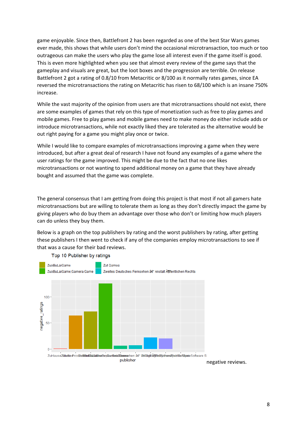game enjoyable. Since then, Battlefront 2 has been regarded as one of the best Star Wars games ever made, this shows that while users don't mind the occasional microtransaction, too much or too outrageous can make the users who play the game lose all interest even if the game itself is good. This is even more highlighted when you see that almost every review of the game says that the gameplay and visuals are great, but the loot boxes and the progression are terrible. On release Battlefront 2 got a rating of 0.8/10 from Metacritic or 8/100 as it normally rates games, since EA reversed the microtransactions the rating on Metacritic has risen to 68/100 which is an insane 750% increase.

While the vast majority of the opinion from users are that microtransactions should not exist, there are some examples of games that rely on this type of monetization such as free to play games and mobile games. Free to play games and mobile games need to make money do either include adds or introduce microtransactions, while not exactly liked they are tolerated as the alternative would be out right paying for a game you might play once or twice.

While I would like to compare examples of microtransactions improving a game when they were introduced, but after a great deal of research I have not found any examples of a game where the user ratings for the game improved. This might be due to the fact that no one likes microtransactions or not wanting to spend additional money on a game that they have already bought and assumed that the game was complete.

The general consensus that I am getting from doing this project is that most if not all gamers hate microtransactions but are willing to tolerate them as long as they don't directly impact the game by giving players who do buy them an advantage over those who don't or limiting how much players can do unless they buy them.

Below is a graph on the top publishers by rating and the worst publishers by rating, after getting these publishers I then went to check if any of the companies employ microtransactions to see if that was a cause for their bad reviews.



Top 10 Publisher by ratings

negative reviews.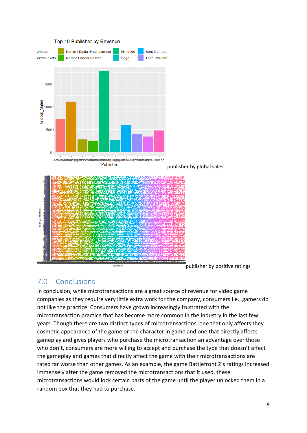

#### Top 10 Publisher by Revenue

publisher by positive ratings

#### 7.0 Conclusions

In conclusion, while microtransactions are a great source of revenue for video game companies as they require very little extra work for the company, consumers i.e., gamers do not like the practice. Consumers have grown increasingly frustrated with the microtransaction practice that has become more common in the industry in the last few years. Though there are two distinct types of microtransactions, one that only affects they cosmetic appearance of the game or the character in game and one that directly affects gameplay and gives players who purchase the microtransaction an advantage over those who don't, consumers are more willing to accept and purchase the type that doesn't affect the gameplay and games that directly affect the game with their microtransactions are rated far worse than other games. As an example, the game Battlefront 2's ratings increased immensely after the game removed the microtransactions that it used, these microtransactions would lock certain parts of the game until the player unlocked them in a random box that they had to purchase.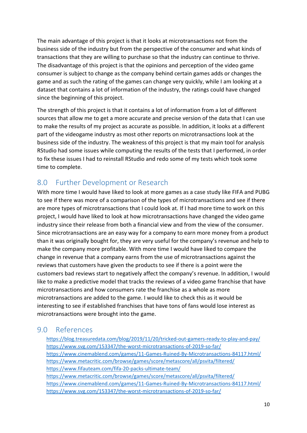The main advantage of this project is that it looks at microtransactions not from the business side of the industry but from the perspective of the consumer and what kinds of transactions that they are willing to purchase so that the industry can continue to thrive. The disadvantage of this project is that the opinions and perception of the video game consumer is subject to change as the company behind certain games adds or changes the game and as such the rating of the games can change very quickly, while I am looking at a dataset that contains a lot of information of the industry, the ratings could have changed since the beginning of this project.

The strength of this project is that it contains a lot of information from a lot of different sources that allow me to get a more accurate and precise version of the data that I can use to make the results of my project as accurate as possible. In addition, it looks at a different part of the videogame industry as most other reports on microtransactions look at the business side of the industry. The weakness of this project is that my main tool for analysis RStudio had some issues while computing the results of the tests that I performed, in order to fix these issues I had to reinstall RStudio and redo some of my tests which took some time to complete.

## <span id="page-10-0"></span>8.0 Further Development or Research

With more time I would have liked to look at more games as a case study like FIFA and PUBG to see if there was more of a comparison of the types of microtransactions and see if there are more types of microtransactions that I could look at. If I had more time to work on this project, I would have liked to look at how microtransactions have changed the video game industry since their release from both a financial view and from the view of the consumer. Since microtransactions are an easy way for a company to earn more money from a product than it was originally bought for, they are very useful for the company's revenue and help to make the company more profitable. With more time I would have liked to compare the change in revenue that a company earns from the use of microtransactions against the reviews that customers have given the products to see if there is a point were the customers bad reviews start to negatively affect the company's revenue. In addition, I would like to make a predictive model that tracks the reviews of a video game franchise that have microtransactions and how consumers rate the franchise as a whole as more microtransactions are added to the game. I would like to check this as it would be interesting to see if established franchises that have tons of fans would lose interest as microtransactions were brought into the game.

## <span id="page-10-2"></span><span id="page-10-1"></span>9.0 References

<https://blog.treasuredata.com/blog/2019/11/20/tricked-out-gamers-ready-to-play-and-pay/> <https://www.svg.com/153347/the-worst-microtransactions-of-2019-so-far/> <https://www.cinemablend.com/games/11-Games-Ruined-By-Microtransactions-84117.html/> <https://www.metacritic.com/browse/games/score/metascore/all/psvita/filtered/> <https://www.fifauteam.com/fifa-20-packs-ultimate-team/> <https://www.metacritic.com/browse/games/score/metascore/all/psvita/filtered/> <https://www.cinemablend.com/games/11-Games-Ruined-By-Microtransactions-84117.html/> <https://www.svg.com/153347/the-worst-microtransactions-of-2019-so-far/>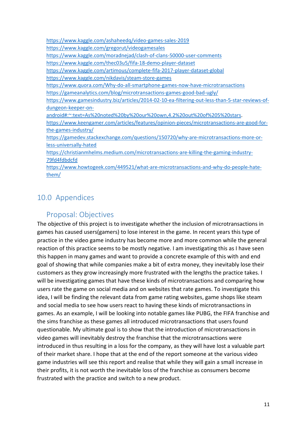<https://www.kaggle.com/ashaheedq/video-games-sales-2019> <https://www.kaggle.com/gregorut/videogamesales> <https://www.kaggle.com/moradnejad/clash-of-clans-50000-user-comments> <https://www.kaggle.com/thec03u5/fifa-18-demo-player-dataset> <https://www.kaggle.com/artimous/complete-fifa-2017-player-dataset-global> <https://www.kaggle.com/nikdavis/steam-store-games> <https://www.quora.com/Why-do-all-smartphone-games-now-have-microtransactions> <https://gameanalytics.com/blog/microtransactions-games-good-bad-ugly/> [https://www.gamesindustry.biz/articles/2014-02-10-ea-filtering-out-less-than-5-star-reviews-of](https://www.gamesindustry.biz/articles/2014-02-10-ea-filtering-out-less-than-5-star-reviews-of-dungeon-keeper-on-android#:%7E:text=As%20noted%20by%20our%20own,4.2%20out%20of%205%20stars)[dungeon-keeper-on](https://www.gamesindustry.biz/articles/2014-02-10-ea-filtering-out-less-than-5-star-reviews-of-dungeon-keeper-on-android#:%7E:text=As%20noted%20by%20our%20own,4.2%20out%20of%205%20stars)[android#:~:text=As%20noted%20by%20our%20own,4.2%20out%20of%205%20stars.](https://www.gamesindustry.biz/articles/2014-02-10-ea-filtering-out-less-than-5-star-reviews-of-dungeon-keeper-on-android#:%7E:text=As%20noted%20by%20our%20own,4.2%20out%20of%205%20stars) [https://www.keengamer.com/articles/features/opinion-pieces/microtransactions-are-good-for](https://www.keengamer.com/articles/features/opinion-pieces/microtransactions-are-good-for-the-games-industry/)[the-games-industry/](https://www.keengamer.com/articles/features/opinion-pieces/microtransactions-are-good-for-the-games-industry/) [https://gamedev.stackexchange.com/questions/150720/why-are-microtransactions-more-or](https://gamedev.stackexchange.com/questions/150720/why-are-microtransactions-more-or-less-universally-hated)[less-universally-hated](https://gamedev.stackexchange.com/questions/150720/why-are-microtransactions-more-or-less-universally-hated) [https://christianmhelms.medium.com/microtransactions-are-killing-the-gaming-industry-](https://christianmhelms.medium.com/microtransactions-are-killing-the-gaming-industry-79fd4fdbdcfd)[79fd4fdbdcfd](https://christianmhelms.medium.com/microtransactions-are-killing-the-gaming-industry-79fd4fdbdcfd) [https://www.howtogeek.com/449521/what-are-microtransactions-and-why-do-people-hate](https://www.howtogeek.com/449521/what-are-microtransactions-and-why-do-people-hate-them/)[them/](https://www.howtogeek.com/449521/what-are-microtransactions-and-why-do-people-hate-them/)

## 10.0 Appendices

## Proposal: Objectives

The objective of this project is to investigate whether the inclusion of microtransactions in games has caused users(gamers) to lose interest in the game. In recent years this type of practice in the video game industry has become more and more common while the general reaction of this practice seems to be mostly negative. I am investigating this as I have seen this happen in many games and want to provide a concrete example of this with and end goal of showing that while companies make a bit of extra money, they inevitably lose their customers as they grow increasingly more frustrated with the lengths the practice takes. I will be investigating games that have these kinds of microtransactions and comparing how users rate the game on social media and on websites that rate games. To investigate this idea, I will be finding the relevant data from game rating websites, game shops like steam and social media to see how users react to having these kinds of microtransactions in games. As an example, I will be looking into notable games like PUBG, the FIFA franchise and the sims franchise as these games all introduced microtransactions that users found questionable. My ultimate goal is to show that the introduction of microtransactions in video games will inevitably destroy the franchise that the microtransactions were introduced in thus resulting in a loss for the company, as they will have lost a valuable part of their market share. I hope that at the end of the report someone at the various video game industries will see this report and realise that while they will gain a small increase in their profits, it is not worth the inevitable loss of the franchise as consumers become frustrated with the practice and switch to a new product.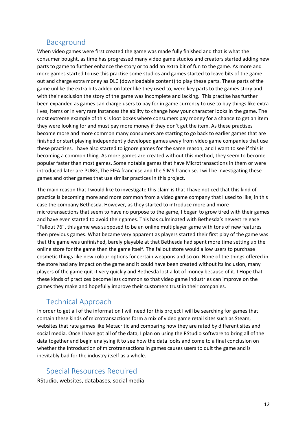### Background

When video games were first created the game was made fully finished and that is what the consumer bought, as time has progressed many video game studios and creators started adding new parts to game to further enhance the story or to add an extra bit of fun to the game. As more and more games started to use this practise some studios and games started to leave bits of the game out and charge extra money as DLC (downloadable content) to play these parts. These parts of the game unlike the extra bits added on later like they used to, were key parts to the games story and with their exclusion the story of the game was incomplete and lacking. This practise has further been expanded as games can charge users to pay for in game currency to use to buy things like extra lives, items or in very rare instances the ability to change how your character looks in the game. The most extreme example of this is loot boxes where consumers pay money for a chance to get an item they were looking for and must pay more money if they don't get the item. As these practises become more and more common many consumers are starting to go back to earlier games that are finished or start playing independently developed games away from video game companies that use these practises. I have also started to ignore games for the same reason, and I want to see if this is becoming a common thing. As more games are created without this method, they seem to become popular faster than most games. Some notable games that have Microtransactions in them or were introduced later are PUBG, The FIFA franchise and the SIMS franchise. I will be investigating these games and other games that use similar practices in this project.

The main reason that I would like to investigate this claim is that I have noticed that this kind of practice is becoming more and more common from a video game company that I used to like, in this case the company Bethesda. However, as they started to introduce more and more microtransactions that seem to have no purpose to the game, I began to grow tired with their games and have even started to avoid their games. This has culminated with Bethesda's newest release "Fallout 76", this game was supposed to be an online multiplayer game with tons of new features then previous games. What became very apparent as players started their first play of the game was that the game was unfinished, barely playable at that Bethesda had spent more time setting up the online store for the game then the game itself. The fallout store would allow users to purchase cosmetic things like new colour options for certain weapons and so on. None of the things offered in the store had any impact on the game and it could have been created without its inclusion, many players of the game quit it very quickly and Bethesda lost a lot of money because of it. I Hope that these kinds of practices become less common so that video game industries can improve on the games they make and hopefully improve their customers trust in their companies.

## Technical Approach

In order to get all of the information I will need for this project I will be searching for games that contain these kinds of microtransactions form a mix of video game retail sites such as Steam, websites that rate games like Metacritic and comparing how they are rated by different sites and social media. Once I have got all of the data, I plan on using the RStudio software to bring all of the data together and begin analysing it to see how the data looks and come to a final conclusion on whether the introduction of microtransactions in games causes users to quit the game and is inevitably bad for the industry itself as a whole.

#### Special Resources Required

RStudio, websites, databases, social media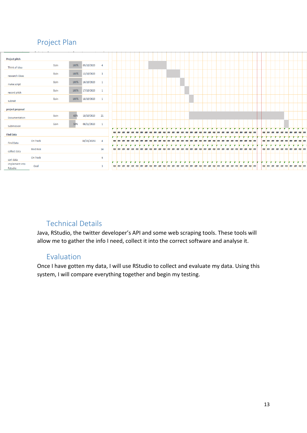## Project Plan

|                           | .               |      |      |             |                         |    |              |    |    |    |          |    |    |    |          |    |    |          |    |    |    |          |    |    |    |    |          |    |    |    |                 |        |    |    |    |    |    |       |
|---------------------------|-----------------|------|------|-------------|-------------------------|----|--------------|----|----|----|----------|----|----|----|----------|----|----|----------|----|----|----|----------|----|----|----|----|----------|----|----|----|-----------------|--------|----|----|----|----|----|-------|
| <b>Project pitch</b>      |                 |      |      |             |                         |    |              |    |    |    |          |    |    |    |          |    |    |          |    |    |    |          |    |    |    |    |          |    |    |    |                 |        |    |    |    |    |    |       |
| Think of idea             |                 | Eoin | 100% | 09/10/2020  | $\overline{4}$          |    |              |    |    |    |          |    |    |    |          |    |    |          |    |    |    |          |    |    |    |    |          |    |    |    |                 |        |    |    |    |    |    |       |
| research ideas            |                 | Eoin | 100% | 13/10/2020  | $\overline{\mathbf{3}}$ |    |              |    |    |    |          |    |    |    |          |    |    |          |    |    |    |          |    |    |    |    |          |    |    |    |                 |        |    |    |    |    |    |       |
| make script               |                 | Eoin | 100% | 16/10/2020  | $\mathbf{1}$            |    |              |    |    |    |          |    |    |    |          |    |    |          |    |    |    |          |    |    |    |    |          |    |    |    |                 |        |    |    |    |    |    |       |
| record pitch              |                 | Eoin | 100% | 17/10/2020  | $\mathbf{1}$            |    |              |    |    |    |          |    |    |    |          |    |    |          |    |    |    |          |    |    |    |    |          |    |    |    |                 |        |    |    |    |    |    |       |
| submit                    |                 | Eoin | 100% | 18/10/2020  | $\mathbf{1}$            |    |              |    |    |    |          |    |    |    |          |    |    |          |    |    |    |          |    |    |    |    |          |    |    |    |                 |        |    |    |    |    |    |       |
| project proposal          |                 |      |      |             |                         |    |              |    |    |    |          |    |    |    |          |    |    |          |    |    |    |          |    |    |    |    |          |    |    |    |                 |        |    |    |    |    |    |       |
| Documentation             |                 | Eoin | 60%  | 18/10/2020  | 21                      |    |              |    |    |    |          |    |    |    |          |    |    |          |    |    |    |          |    |    |    |    |          |    |    |    |                 |        |    |    |    |    |    |       |
| Submission                |                 | Eoin | 50%  | 08/11/2020  | $\blacksquare$          |    |              |    |    |    |          |    |    |    |          |    |    |          |    |    |    |          |    |    |    |    |          |    |    |    |                 |        |    |    |    |    |    |       |
| <b>Find Data</b>          |                 |      |      |             |                         | ## |              |    |    | 丗  |          | ## | ## |    |          |    |    | ##       |    |    |    | ##       |    |    | ## | ## |          | ## | ## | ## | ##<br>##        | ##     |    |    |    |    | ## | ' ##  |
| <b>Find Data</b>          | On Track        |      |      | 18/10/20202 | $\overline{4}$          | ## |              | 丗  | 出世 |    |          |    |    |    |          |    |    |          |    |    |    |          |    |    |    |    |          |    |    | ## | ##<br><b>HH</b> |        |    |    |    |    | ## |       |
| collect data              | <b>Med Risk</b> |      |      |             | 14                      | ## | ##           | ## | ## | ## | ##       | ## | ## | 丗  | ##       | ## | ## | ##<br>## | 丗  | ## | ## | ##<br>## | ## | ## | ## | 丗  | ##<br>## | ## | ## | ## | ##<br>##        | ##     |    | ## | ## | 丗  | ## | ##    |
| sort data                 | On Track        |      |      |             | 6                       |    |              |    |    |    |          |    |    |    |          |    |    |          |    |    |    |          |    |    |    |    |          |    |    |    |                 |        |    |    |    |    |    |       |
| implement into<br>Rstudio | Goal            |      |      |             | $\overline{3}$          |    | . .<br>## ## | ## | ## | ## | ##<br>## | ## | ## | ## | ##<br>## | ## | ## | ##<br>## | ## |    | ## | ##<br>## |    |    | ## | ## | ##       | ## | ## | ## | ## ##           | $+$ ## | ## | ## | ## | ## | ## | ## ## |
|                           |                 |      |      |             |                         |    |              |    |    |    |          |    |    |    |          |    |    |          |    |    |    |          |    |    |    |    |          |    |    |    |                 |        |    |    |    |    |    |       |

## Technical Details

Java, RStudio, the twitter developer's API and some web scraping tools. These tools will allow me to gather the info I need, collect it into the correct software and analyse it.

#### Evaluation

Once I have gotten my data, I will use RStudio to collect and evaluate my data. Using this system, I will compare everything together and begin my testing.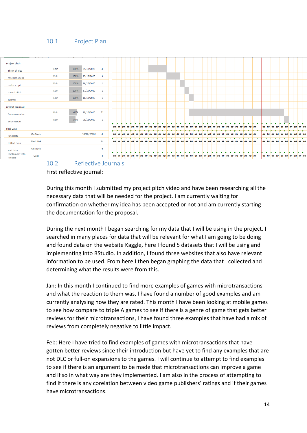#### <span id="page-14-0"></span>10.1. Project Plan



<span id="page-14-1"></span>First reflective journal:

During this month I submitted my project pitch video and have been researching all the necessary data that will be needed for the project. I am currently waiting for confirmation on whether my idea has been accepted or not and am currently starting the documentation for the proposal.

During the next month I began searching for my data that I will be using in the project. I searched in many places for data that will be relevant for what I am going to be doing and found data on the website Kaggle, here I found 5 datasets that I will be using and implementing into RStudio. In addition, I found three websites that also have relevant information to be used. From here I then began graphing the data that I collected and determining what the results were from this.

Jan: In this month I continued to find more examples of games with microtransactions and what the reaction to them was, I have found a number of good examples and am currently analysing how they are rated. This month I have been looking at mobile games to see how compare to triple A games to see if there is a genre of game that gets better reviews for their microtransactions, I have found three examples that have had a mix of reviews from completely negative to little impact.

Feb: Here I have tried to find examples of games with microtransactions that have gotten better reviews since their introduction but have yet to find any examples that are not DLC or full-on expansions to the games. I will continue to attempt to find examples to see if there is an argument to be made that microtransactions can improve a game and if so in what way are they implemented. I am also in the process of attempting to find if there is any corelation between video game publishers' ratings and if their games have microtransactions.